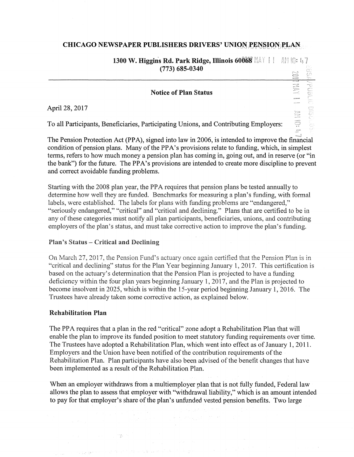# CHICAGO NEWSPAPER PUBLISHERS DRIVERS' UNION PENSION PLAN

1300 W. Higgins Rd. Park Ridge, Illinois 60068 MAY 11 AM [0: 47] (773) 685-0340 II III III

**SANGOLOGIC** 

enses<br>Son

### Notice of Pian Status

April28,2017

To all Participants, Beneficiaries, Participating Unions, and Contributing Employers:

The Pension Protection Act (PPA), signed into law in 2006, is intended to improve the financial condition of pension plans. Many of the PPA's provisions relate to funding, which, in simplest terms, refers to how much money a pension plan has coming in, going out, and in reserve (or "in the bank") for the future. The PPA's provisions are intended to create more discipline to prevent and correct avoidable funding problems.

Starting with the 2008 plan year, the PPA requires that pension plans be tested annually to determine how well they are funded. Benchmarks for measuring a plan's funding, with formal labels, were established. The labels for plans with funding problems are "endangered,'' "seriously endangered," "critical" and "critical and declining." Plans that are certified to be in any of these categories must notify all plan participants, beneficiaries, unions, and contributing employers of the plan's status, and must take corrective action to improve the plan's funding.

## Plan's Status - Critical and Declining

 $\mathcal{L}^{\text{max}}(\mathcal{L}^{\text{max}})$  , where  $\mathcal{L}^{\text{max}}(\mathcal{L}^{\text{max}})$ 

**CONSTRUCT** 

a greater that we want of the story

On March 27, 2017, the Pension Fund's actuary once again certified that the Pension Plan is in "critical and declining" status for the Plan Year beginning January 1, 2017. This certification is based on the actuary's determination that the Pension Plan is projected to have a funding deficiency within the four plan years beginning January 1, 2017, and the Plan is projected to become insolvent in 2025, which is within the 15-year period beginning January 1, 2016. The Trustees have already taken some corrective action, as explained below.

## Rehabilitation Plan

The PPA requires that a plan in the red "critical" zone adopt a Rehabilitation Plan that will enable the plan to improve its funded position to meet statutory funding requirements over time. The Trustees have adopted a Rehabilitation Plan, which went into effect as of January 1, 2011. Employers and the Union have been notified of the contribution requirements of the Rehabilitation Plan. Plan participants have also been advised of the benefit changes that have been implemented as a result of the Rehabilitation Plan.

When an employer withdraws from a multiemployer plan that is not fully funded, Federal law allows the plan to assess that employer with "withdrawal liability," which is an amount intended to pay for that employer's share of the plan's unfunded vested pension benefits. Two large